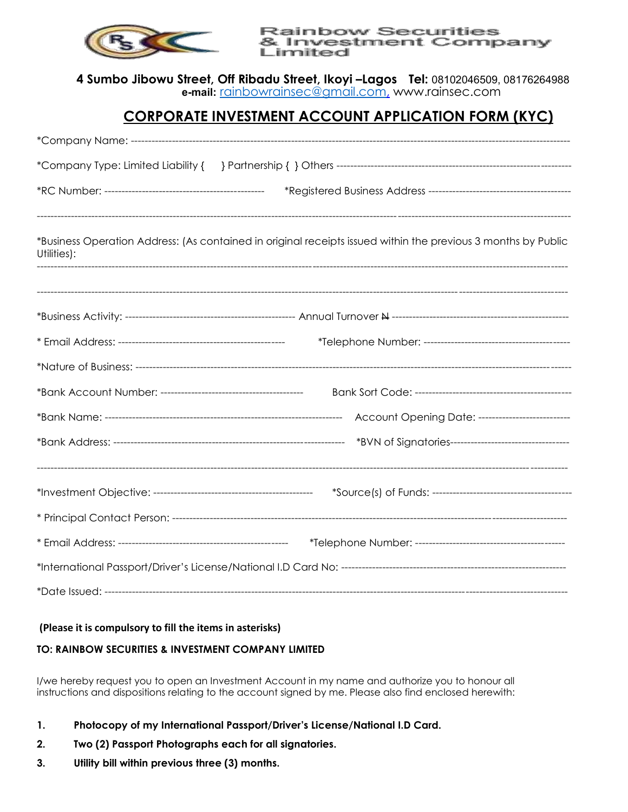

**Rainbow Securities** & Investment Company Limited

**4 Sumbo Jibowu Street, Off Ribadu Street, Ikoyi –Lagos Tel:** 08102046509, 08176264988 **e-mail:** [rainbowrainsec@gmail.com,](mailto:rainbowrainsec@gmail.com) www.rainsec.com

## **CORPORATE INVESTMENT ACCOUNT APPLICATION FORM (KYC)**

| *Business Operation Address: (As contained in original receipts issued within the previous 3 months by Public<br>Utilities): |                                                        |  |  |  |  |  |  |
|------------------------------------------------------------------------------------------------------------------------------|--------------------------------------------------------|--|--|--|--|--|--|
|                                                                                                                              |                                                        |  |  |  |  |  |  |
|                                                                                                                              |                                                        |  |  |  |  |  |  |
|                                                                                                                              |                                                        |  |  |  |  |  |  |
|                                                                                                                              |                                                        |  |  |  |  |  |  |
|                                                                                                                              |                                                        |  |  |  |  |  |  |
|                                                                                                                              | Account Opening Date: -------------------------        |  |  |  |  |  |  |
|                                                                                                                              | *BVN of Signatories----------------------------------- |  |  |  |  |  |  |
|                                                                                                                              |                                                        |  |  |  |  |  |  |
|                                                                                                                              |                                                        |  |  |  |  |  |  |
|                                                                                                                              |                                                        |  |  |  |  |  |  |
|                                                                                                                              |                                                        |  |  |  |  |  |  |
|                                                                                                                              |                                                        |  |  |  |  |  |  |
|                                                                                                                              |                                                        |  |  |  |  |  |  |

## **(Please it is compulsory to fill the items in asterisks)**

## **TO: RAINBOW SECURITIES & INVESTMENT COMPANY LIMITED**

I/we hereby request you to open an Investment Account in my name and authorize you to honour all instructions and dispositions relating to the account signed by me. Please also find enclosed herewith:

- **1. Photocopy of my International Passport/Driver's License/National I.D Card.**
- **2. Two (2) Passport Photographs each for all signatories.**
- **3. Utility bill within previous three (3) months.**